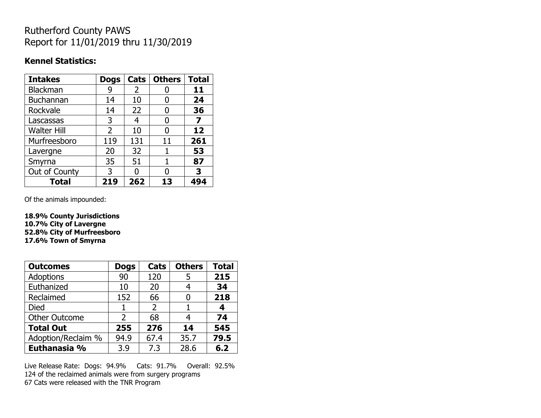## Rutherford County PAWS Report for 11/01/2019 thru 11/30/2019

#### **Kennel Statistics:**

| <b>Intakes</b>     | <b>Dogs</b>    | Cats | <b>Others</b> | <b>Total</b> |
|--------------------|----------------|------|---------------|--------------|
| Blackman           | 9              | 2    |               | 11           |
| Buchannan          | 14             | 10   | O             | 24           |
| Rockvale           | 14             | 22   |               | 36           |
| Lascassas          | 3              | 4    | O             | 7            |
| <b>Walter Hill</b> | $\overline{2}$ | 10   | O             | 12           |
| Murfreesboro       | 119            | 131  | 11            | 261          |
| Lavergne           | 20             | 32   | 1             | 53           |
| Smyrna             | 35             | 51   | 1             | 87           |
| Out of County      | 3              | n    |               | 3            |
| <b>Total</b>       | 219            | 262  | 13            | 494          |

Of the animals impounded:

**18.9% County Jurisdictions 10.7% City of Lavergne 52.8% City of Murfreesboro 17.6% Town of Smyrna**

| <b>Outcomes</b>      | <b>Dogs</b>   | Cats | <b>Others</b> | <b>Total</b> |
|----------------------|---------------|------|---------------|--------------|
| Adoptions            | 90            | 120  | 5             | 215          |
| Euthanized           | 10            | 20   | 4             | 34           |
| Reclaimed            | 152           | 66   |               | 218          |
| Died                 |               | 2    |               | 4            |
| <b>Other Outcome</b> | $\mathcal{P}$ | 68   | 4             | 74           |
| <b>Total Out</b>     | 255           | 276  | 14            | 545          |
| Adoption/Reclaim %   | 94.9          | 67.4 | 35.7          | 79.5         |
| Euthanasia %         | 3.9           | 7.3  | 28.6          | 6.2          |

Live Release Rate: Dogs: 94.9% Cats: 91.7% Overall: 92.5% 124 of the reclaimed animals were from surgery programs 67 Cats were released with the TNR Program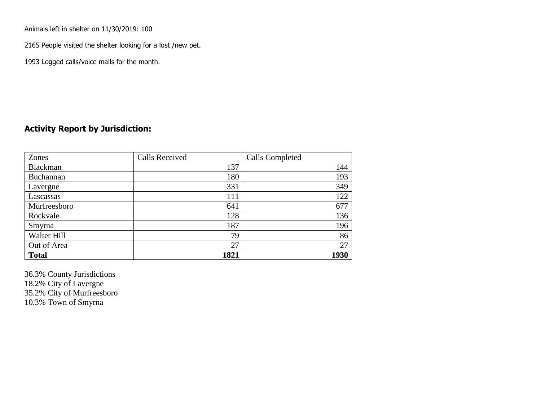Animals left in shelter on 11/30/2019: 100

2165 People visited the shelter looking for a lost /new pet.

1993 Logged calls/voice mails for the month.

### **Activity Report by Jurisdiction:**

| Zones           | <b>Calls Received</b> | Calls Completed |
|-----------------|-----------------------|-----------------|
| <b>Blackman</b> | 137                   | 144             |
| Buchannan       | 180                   | 193             |
| Lavergne        | 331                   | 349             |
| Lascassas       | 111                   | 122             |
| Murfreesboro    | 641                   | 677             |
| Rockvale        | 128                   | 136             |
| Smyrna          | 187                   | 196             |
| Walter Hill     | 79                    | 86              |
| Out of Area     | 27                    | 27              |
| <b>Total</b>    | 1821                  | 1930            |

36.3% County Jurisdictions 18.2% City of Lavergne 35.2% City of Murfreesboro 10.3% Town of Smyrna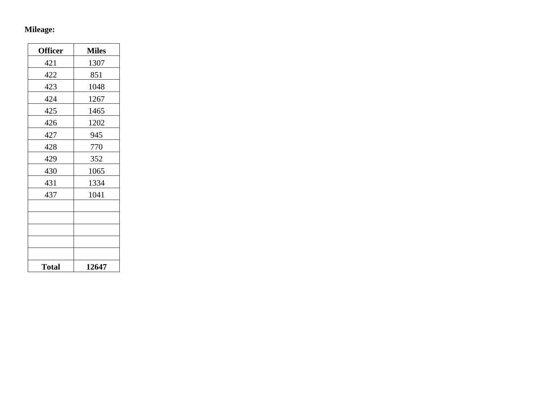## **Mileage:**

| <b>Officer</b> | <b>Miles</b> |
|----------------|--------------|
| 421            | 1307         |
| 422            | 851          |
| 423            | 1048         |
| 424            | 1267         |
| 425            | 1465         |
| 426            | 1202         |
| 427            | 945          |
| 428            | 770          |
| 429            | 352          |
| 430            | 1065         |
| 431            | 1334         |
| 437            | 1041         |
|                |              |
|                |              |
|                |              |
|                |              |
|                |              |
| <b>Total</b>   | 12647        |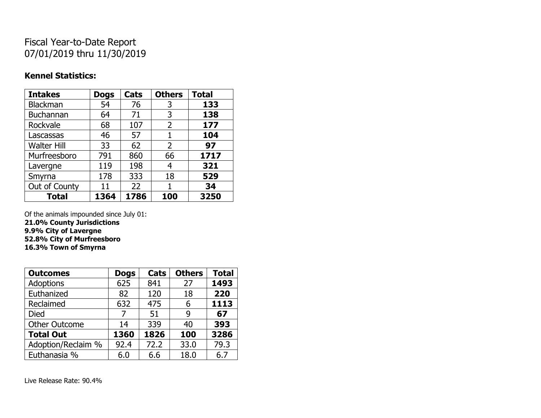# Fiscal Year-to-Date Report 07/01/2019 thru 11/30/2019

### **Kennel Statistics:**

| <b>Intakes</b>     | <b>Dogs</b> | Cats | <b>Others</b>  | <b>Total</b> |
|--------------------|-------------|------|----------------|--------------|
| <b>Blackman</b>    | 54          | 76   | 3              | 133          |
| Buchannan          | 64          | 71   | 3              | 138          |
| Rockvale           | 68          | 107  | 2              | 177          |
| Lascassas          | 46          | 57   | 1              | 104          |
| <b>Walter Hill</b> | 33          | 62   | $\overline{2}$ | 97           |
| Murfreesboro       | 791         | 860  | 66             | 1717         |
| Lavergne           | 119         | 198  | 4              | 321          |
| Smyrna             | 178         | 333  | 18             | 529          |
| Out of County      | 11          | 22   |                | 34           |
| <b>Total</b>       | 1364        | 1786 | 100            | 3250         |

Of the animals impounded since July 01:

**21.0% County Jurisdictions 9.9% City of Lavergne 52.8% City of Murfreesboro**

**16.3% Town of Smyrna**

| <b>Outcomes</b>      | <b>Dogs</b> | Cats | <b>Others</b> | <b>Total</b> |
|----------------------|-------------|------|---------------|--------------|
| <b>Adoptions</b>     | 625         | 841  | 27            | 1493         |
| Euthanized           | 82          | 120  | 18            | 220          |
| Reclaimed            | 632         | 475  | 6             | 1113         |
| Died                 | 7           | 51   | 9             | 67           |
| <b>Other Outcome</b> | 14          | 339  | 40            | 393          |
| <b>Total Out</b>     | 1360        | 1826 | 100           | 3286         |
| Adoption/Reclaim %   | 92.4        | 72.2 | 33.0          | 79.3         |
| Euthanasia %         | 6.0         | 6.6  | 18.0          | 6.7          |

Live Release Rate: 90.4%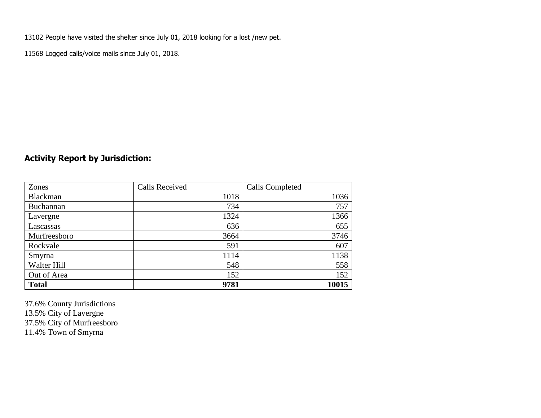13102 People have visited the shelter since July 01, 2018 looking for a lost /new pet.

11568 Logged calls/voice mails since July 01, 2018.

## **Activity Report by Jurisdiction:**

| Zones           | <b>Calls Received</b> | Calls Completed |
|-----------------|-----------------------|-----------------|
| <b>Blackman</b> | 1018                  | 1036            |
| Buchannan       | 734                   | 757             |
| Lavergne        | 1324                  | 1366            |
| Lascassas       | 636                   | 655             |
| Murfreesboro    | 3664                  | 3746            |
| Rockvale        | 591                   | 607             |
| Smyrna          | 1114                  | 1138            |
| Walter Hill     | 548                   | 558             |
| Out of Area     | 152                   | 152             |
| <b>Total</b>    | 9781                  | 10015           |

37.6% County Jurisdictions 13.5% City of Lavergne 37.5% City of Murfreesboro 11.4% Town of Smyrna